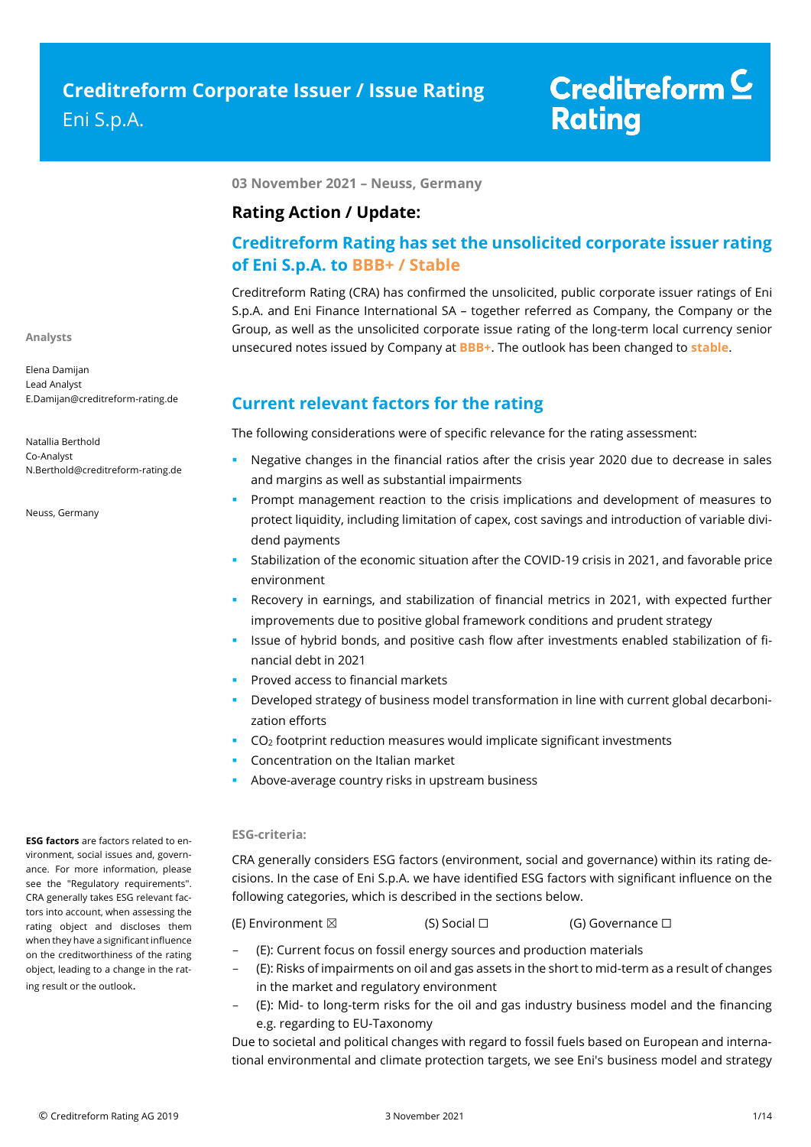### **03 November 2021 – Neuss, Germany**

### **Rating Action / Update:**

# **Creditreform Rating has set the unsolicited corporate issuer rating of Eni S.p.A. to BBB+ / Stable**

Creditreform Rating (CRA) has confirmed the unsolicited, public corporate issuer ratings of Eni S.p.A. and Eni Finance International SA – together referred as Company, the Company or the Group, as well as the unsolicited corporate issue rating of the long-term local currency senior unsecured notes issued by Company at **BBB+**. The outlook has been changed to **stable**.

### **Current relevant factors for the rating**

The following considerations were of specific relevance for the rating assessment:

- Negative changes in the financial ratios after the crisis year 2020 due to decrease in sales and margins as well as substantial impairments
- **Prompt management reaction to the crisis implications and development of measures to** protect liquidity, including limitation of capex, cost savings and introduction of variable dividend payments
- Stabilization of the economic situation after the COVID-19 crisis in 2021, and favorable price environment
- Recovery in earnings, and stabilization of financial metrics in 2021, with expected further improvements due to positive global framework conditions and prudent strategy
- Issue of hybrid bonds, and positive cash flow after investments enabled stabilization of financial debt in 2021
- **Proved access to financial markets**
- Developed strategy of business model transformation in line with current global decarbonization efforts
- $CO<sub>2</sub>$  footprint reduction measures would implicate significant investments
- Concentration on the Italian market
- **Above-average country risks in upstream business**

### **ESG-criteria:**

CRA generally considers ESG factors (environment, social and governance) within its rating decisions. In the case of Eni S.p.A. we have identified ESG factors with significant influence on the following categories, which is described in the sections below.

(E) Environment ⊠ (S) Social □ (G) Governance □

- (E): Current focus on fossil energy sources and production materials
- (E): Risks of impairments on oil and gas assets in the short to mid-term as a result of changes in the market and regulatory environment
- (E): Mid- to long-term risks for the oil and gas industry business model and the financing e.g. regarding to EU-Taxonomy

Due to societal and political changes with regard to fossil fuels based on European and international environmental and climate protection targets, we see Eni's business model and strategy

**ESG factors** are factors related to environment, social issues and, governance. For more information, please see the "Regulatory requirements". CRA generally takes ESG relevant factors into account, when assessing the rating object and discloses them when they have a significant influence on the creditworthiness of the rating object, leading to a change in the rating result or the outlook.

**Analysts**

Elena Damijan Lead Analyst E.Damijan@creditreform-rating.de

Natallia Berthold Co-Analyst N.Berthold@creditreform-rating.de

Neuss, Germany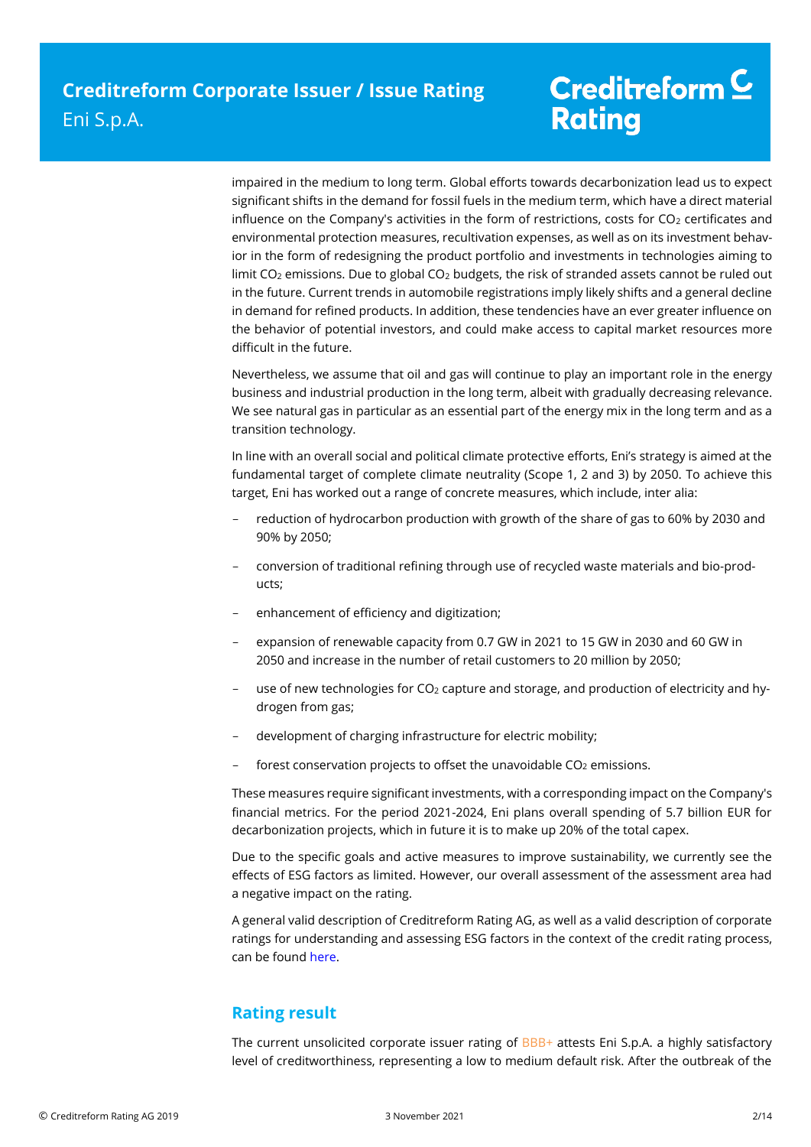impaired in the medium to long term. Global efforts towards decarbonization lead us to expect significant shifts in the demand for fossil fuels in the medium term, which have a direct material influence on the Company's activities in the form of restrictions, costs for  $CO<sub>2</sub>$  certificates and environmental protection measures, recultivation expenses, as well as on its investment behavior in the form of redesigning the product portfolio and investments in technologies aiming to limit CO<sub>2</sub> emissions. Due to global CO<sub>2</sub> budgets, the risk of stranded assets cannot be ruled out in the future. Current trends in automobile registrations imply likely shifts and a general decline in demand for refined products. In addition, these tendencies have an ever greater influence on the behavior of potential investors, and could make access to capital market resources more difficult in the future.

Nevertheless, we assume that oil and gas will continue to play an important role in the energy business and industrial production in the long term, albeit with gradually decreasing relevance. We see natural gas in particular as an essential part of the energy mix in the long term and as a transition technology.

In line with an overall social and political climate protective efforts, Eni's strategy is aimed at the fundamental target of complete climate neutrality (Scope 1, 2 and 3) by 2050. To achieve this target, Eni has worked out a range of concrete measures, which include, inter alia:

- reduction of hydrocarbon production with growth of the share of gas to 60% by 2030 and 90% by 2050;
- conversion of traditional refining through use of recycled waste materials and bio-products;
- enhancement of efficiency and digitization;
- expansion of renewable capacity from 0.7 GW in 2021 to 15 GW in 2030 and 60 GW in 2050 and increase in the number of retail customers to 20 million by 2050;
- use of new technologies for  $CO<sub>2</sub>$  capture and storage, and production of electricity and hydrogen from gas;
- development of charging infrastructure for electric mobility;
- forest conservation projects to offset the unavoidable  $CO<sub>2</sub>$  emissions.

These measures require significant investments, with a corresponding impact on the Company's financial metrics. For the period 2021-2024, Eni plans overall spending of 5.7 billion EUR for decarbonization projects, which in future it is to make up 20% of the total capex.

Due to the specific goals and active measures to improve sustainability, we currently see the effects of ESG factors as limited. However, our overall assessment of the assessment area had a negative impact on the rating.

A general valid description of Creditreform Rating AG, as well as a valid description of corporate ratings for understanding and assessing ESG factors in the context of the credit rating process, can be foun[d here.](https://creditreform-rating.de/en/about-us/regulatory-requirements.html?file=files/content/downloads/Externes%20Rating/Regulatorische%20Anforderungen/EN/Ratingmethodiken%20EN/The%20Impact%20of%20ESG%20Factors%20on%20Credit%20Ratings.pdf)

# **Rating result**

The current unsolicited corporate issuer rating of BBB+ attests Eni S.p.A. a highly satisfactory level of creditworthiness, representing a low to medium default risk. After the outbreak of the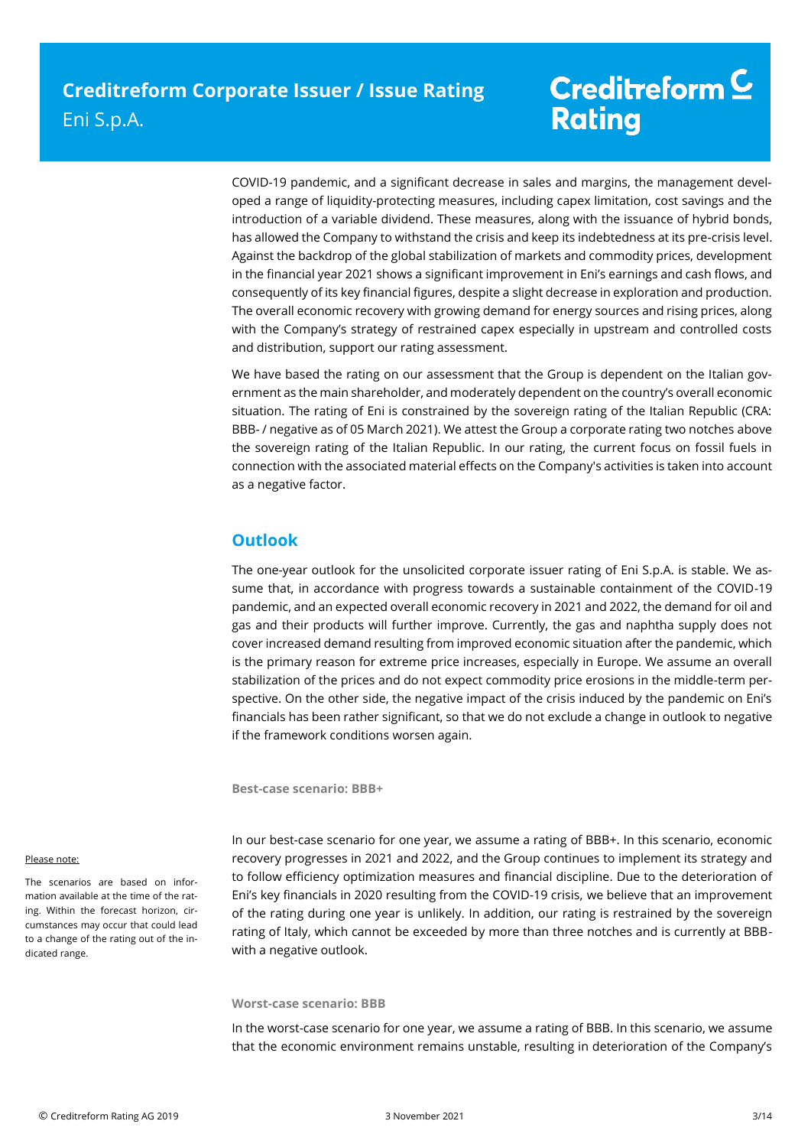# Creditreform<sup>C</sup> **Rating**

COVID-19 pandemic, and a significant decrease in sales and margins, the management developed a range of liquidity-protecting measures, including capex limitation, cost savings and the introduction of a variable dividend. These measures, along with the issuance of hybrid bonds, has allowed the Company to withstand the crisis and keep its indebtedness at its pre-crisis level. Against the backdrop of the global stabilization of markets and commodity prices, development in the financial year 2021 shows a significant improvement in Eni's earnings and cash flows, and consequently of its key financial figures, despite a slight decrease in exploration and production. The overall economic recovery with growing demand for energy sources and rising prices, along with the Company's strategy of restrained capex especially in upstream and controlled costs and distribution, support our rating assessment.

We have based the rating on our assessment that the Group is dependent on the Italian government as the main shareholder, and moderately dependent on the country's overall economic situation. The rating of Eni is constrained by the sovereign rating of the Italian Republic (CRA: BBB- / negative as of 05 March 2021). We attest the Group a corporate rating two notches above the sovereign rating of the Italian Republic. In our rating, the current focus on fossil fuels in connection with the associated material effects on the Company's activities is taken into account as a negative factor.

# **Outlook**

The one-year outlook for the unsolicited corporate issuer rating of Eni S.p.A. is stable. We assume that, in accordance with progress towards a sustainable containment of the COVID-19 pandemic, and an expected overall economic recovery in 2021 and 2022, the demand for oil and gas and their products will further improve. Currently, the gas and naphtha supply does not cover increased demand resulting from improved economic situation after the pandemic, which is the primary reason for extreme price increases, especially in Europe. We assume an overall stabilization of the prices and do not expect commodity price erosions in the middle-term perspective. On the other side, the negative impact of the crisis induced by the pandemic on Eni's financials has been rather significant, so that we do not exclude a change in outlook to negative if the framework conditions worsen again.

**Best-case scenario: BBB+**

#### Please note:

The scenarios are based on information available at the time of the rating. Within the forecast horizon, circumstances may occur that could lead to a change of the rating out of the indicated range.

In our best-case scenario for one year, we assume a rating of BBB+. In this scenario, economic recovery progresses in 2021 and 2022, and the Group continues to implement its strategy and to follow efficiency optimization measures and financial discipline. Due to the deterioration of Eni's key financials in 2020 resulting from the COVID-19 crisis, we believe that an improvement of the rating during one year is unlikely. In addition, our rating is restrained by the sovereign rating of Italy, which cannot be exceeded by more than three notches and is currently at BBBwith a negative outlook.

#### **Worst-case scenario: BBB**

In the worst-case scenario for one year, we assume a rating of BBB. In this scenario, we assume that the economic environment remains unstable, resulting in deterioration of the Company's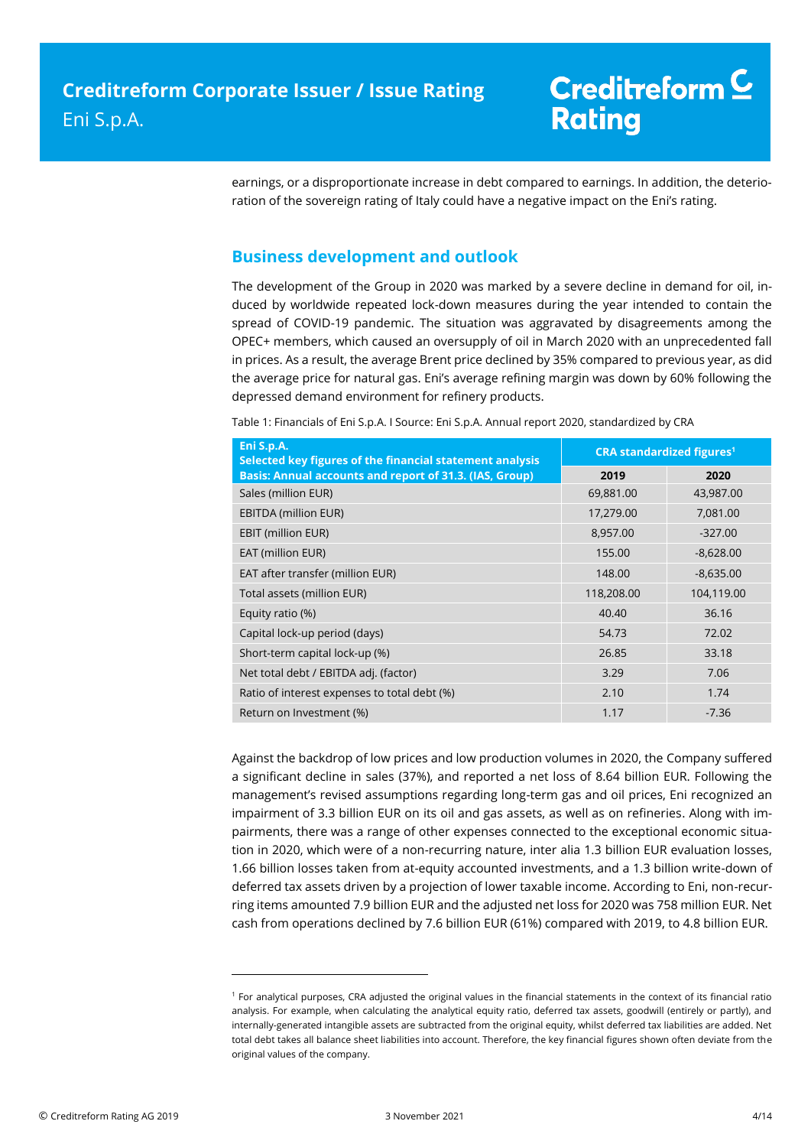earnings, or a disproportionate increase in debt compared to earnings. In addition, the deterioration of the sovereign rating of Italy could have a negative impact on the Eni's rating.

# **Business development and outlook**

The development of the Group in 2020 was marked by a severe decline in demand for oil, induced by worldwide repeated lock-down measures during the year intended to contain the spread of COVID-19 pandemic. The situation was aggravated by disagreements among the OPEC+ members, which caused an oversupply of oil in March 2020 with an unprecedented fall in prices. As a result, the average Brent price declined by 35% compared to previous year, as did the average price for natural gas. Eni's average refining margin was down by 60% following the depressed demand environment for refinery products.

Table 1: Financials of Eni S.p.A. I Source: Eni S.p.A. Annual report 2020, standardized by CRA

| Eni S.p.A.<br>Selected key figures of the financial statement analysis | <b>CRA standardized figures<sup>1</sup></b> |             |  |
|------------------------------------------------------------------------|---------------------------------------------|-------------|--|
| Basis: Annual accounts and report of 31.3. (IAS, Group)                | 2019                                        | 2020        |  |
| Sales (million EUR)                                                    | 69,881.00                                   | 43,987.00   |  |
| EBITDA (million EUR)                                                   | 17,279.00                                   | 7,081.00    |  |
| EBIT (million EUR)                                                     | 8,957.00                                    | $-327.00$   |  |
| EAT (million EUR)                                                      | 155.00                                      | $-8,628.00$ |  |
| EAT after transfer (million EUR)                                       | 148.00                                      | $-8,635.00$ |  |
| Total assets (million EUR)                                             | 118,208.00                                  | 104,119.00  |  |
| Equity ratio (%)                                                       | 40.40                                       | 36.16       |  |
| Capital lock-up period (days)                                          | 54.73                                       | 72.02       |  |
| Short-term capital lock-up (%)                                         | 26.85                                       | 33.18       |  |
| Net total debt / EBITDA adj. (factor)                                  | 3.29                                        | 7.06        |  |
| Ratio of interest expenses to total debt (%)                           | 2.10                                        | 1.74        |  |
| Return on Investment (%)                                               | 1.17                                        | $-7.36$     |  |

Against the backdrop of low prices and low production volumes in 2020, the Company suffered a significant decline in sales (37%), and reported a net loss of 8.64 billion EUR. Following the management's revised assumptions regarding long-term gas and oil prices, Eni recognized an impairment of 3.3 billion EUR on its oil and gas assets, as well as on refineries. Along with impairments, there was a range of other expenses connected to the exceptional economic situation in 2020, which were of a non-recurring nature, inter alia 1.3 billion EUR evaluation losses, 1.66 billion losses taken from at-equity accounted investments, and a 1.3 billion write-down of deferred tax assets driven by a projection of lower taxable income. According to Eni, non-recurring items amounted 7.9 billion EUR and the adjusted net loss for 2020 was 758 million EUR. Net cash from operations declined by 7.6 billion EUR (61%) compared with 2019, to 4.8 billion EUR.

 $\overline{a}$ 

<sup>1</sup> For analytical purposes, CRA adjusted the original values in the financial statements in the context of its financial ratio analysis. For example, when calculating the analytical equity ratio, deferred tax assets, goodwill (entirely or partly), and internally-generated intangible assets are subtracted from the original equity, whilst deferred tax liabilities are added. Net total debt takes all balance sheet liabilities into account. Therefore, the key financial figures shown often deviate from the original values of the company.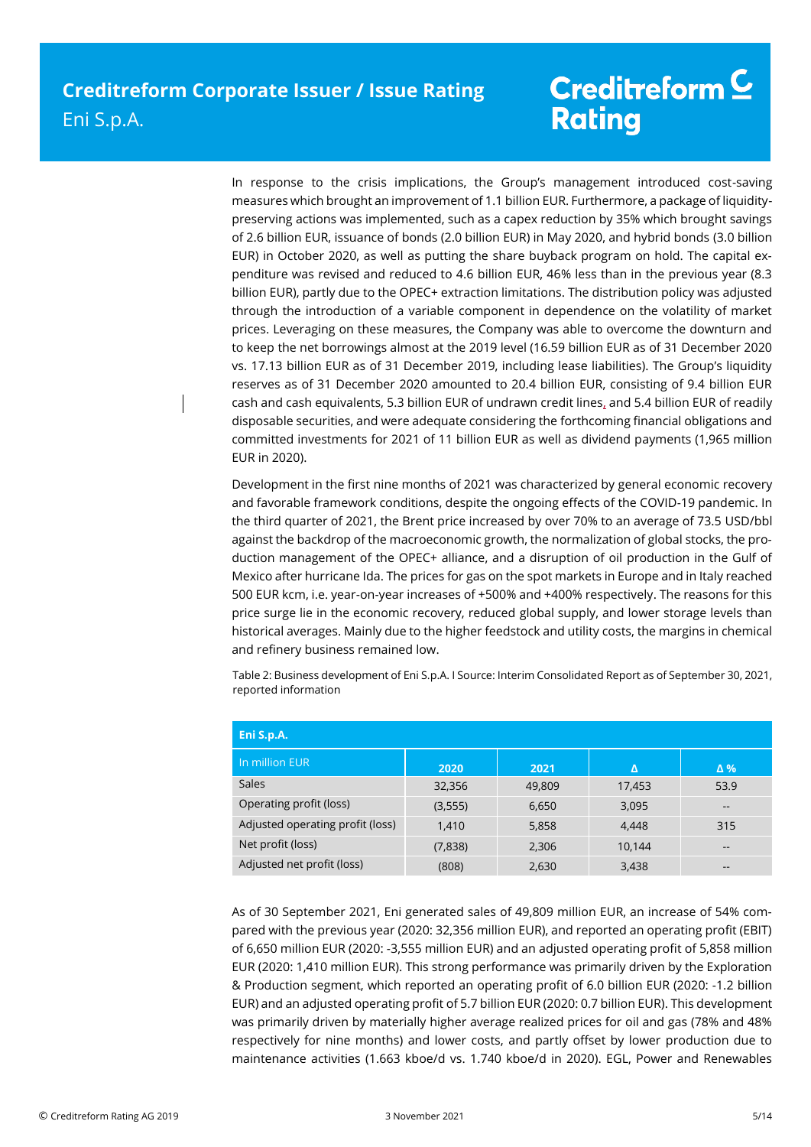In response to the crisis implications, the Group's management introduced cost-saving measures which brought an improvement of 1.1 billion EUR. Furthermore, a package of liquiditypreserving actions was implemented, such as a capex reduction by 35% which brought savings of 2.6 billion EUR, issuance of bonds (2.0 billion EUR) in May 2020, and hybrid bonds (3.0 billion EUR) in October 2020, as well as putting the share buyback program on hold. The capital expenditure was revised and reduced to 4.6 billion EUR, 46% less than in the previous year (8.3 billion EUR), partly due to the OPEC+ extraction limitations. The distribution policy was adjusted through the introduction of a variable component in dependence on the volatility of market prices. Leveraging on these measures, the Company was able to overcome the downturn and to keep the net borrowings almost at the 2019 level (16.59 billion EUR as of 31 December 2020 vs. 17.13 billion EUR as of 31 December 2019, including lease liabilities). The Group's liquidity reserves as of 31 December 2020 amounted to 20.4 billion EUR, consisting of 9.4 billion EUR cash and cash equivalents, 5.3 billion EUR of undrawn credit lines, and 5.4 billion EUR of readily disposable securities, and were adequate considering the forthcoming financial obligations and committed investments for 2021 of 11 billion EUR as well as dividend payments (1,965 million EUR in 2020).

Development in the first nine months of 2021 was characterized by general economic recovery and favorable framework conditions, despite the ongoing effects of the COVID-19 pandemic. In the third quarter of 2021, the Brent price increased by over 70% to an average of 73.5 USD/bbl against the backdrop of the macroeconomic growth, the normalization of global stocks, the production management of the OPEC+ alliance, and a disruption of oil production in the Gulf of Mexico after hurricane Ida. The prices for gas on the spot markets in Europe and in Italy reached 500 EUR kcm, i.e. year-on-year increases of +500% and +400% respectively. The reasons for this price surge lie in the economic recovery, reduced global supply, and lower storage levels than historical averages. Mainly due to the higher feedstock and utility costs, the margins in chemical and refinery business remained low.

Table 2: Business development of Eni S.p.A. I Source: Interim Consolidated Report as of September 30, 2021, reported information

| Eni S.p.A.                       |          |        |        |                   |  |
|----------------------------------|----------|--------|--------|-------------------|--|
| In million EUR                   | 2020     | 2021   | Δ      | $\Delta$ %        |  |
| Sales                            | 32,356   | 49,809 | 17,453 | 53.9              |  |
| Operating profit (loss)          | (3, 555) | 6,650  | 3,095  | $\qquad \qquad -$ |  |
| Adjusted operating profit (loss) | 1,410    | 5,858  | 4,448  | 315               |  |
| Net profit (loss)                | (7,838)  | 2,306  | 10,144 | $\qquad \qquad -$ |  |
| Adjusted net profit (loss)       | (808)    | 2,630  | 3,438  | --                |  |

As of 30 September 2021, Eni generated sales of 49,809 million EUR, an increase of 54% compared with the previous year (2020: 32,356 million EUR), and reported an operating profit (EBIT) of 6,650 million EUR (2020: -3,555 million EUR) and an adjusted operating profit of 5,858 million EUR (2020: 1,410 million EUR). This strong performance was primarily driven by the Exploration & Production segment, which reported an operating profit of 6.0 billion EUR (2020: -1.2 billion EUR) and an adjusted operating profit of 5.7 billion EUR (2020: 0.7 billion EUR). This development was primarily driven by materially higher average realized prices for oil and gas (78% and 48% respectively for nine months) and lower costs, and partly offset by lower production due to maintenance activities (1.663 kboe/d vs. 1.740 kboe/d in 2020). EGL, Power and Renewables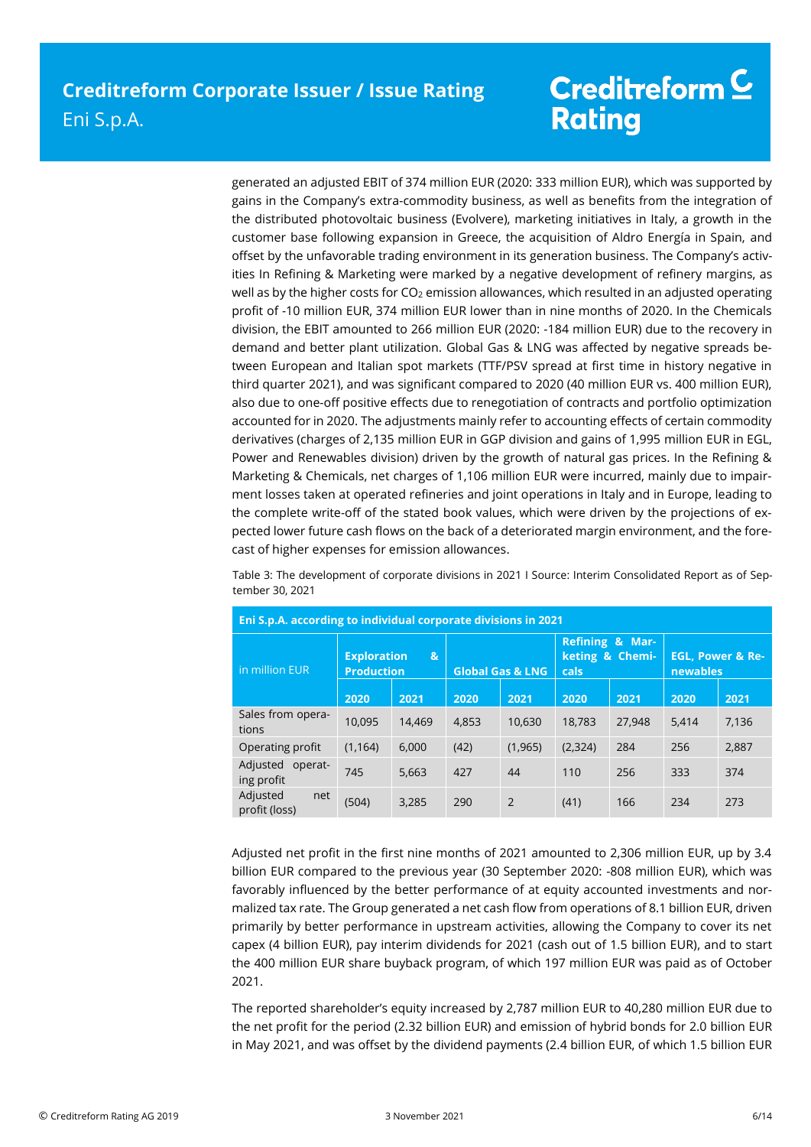generated an adjusted EBIT of 374 million EUR (2020: 333 million EUR), which was supported by gains in the Company's extra-commodity business, as well as benefits from the integration of the distributed photovoltaic business (Evolvere), marketing initiatives in Italy, a growth in the customer base following expansion in Greece, the acquisition of Aldro Energía in Spain, and offset by the unfavorable trading environment in its generation business. The Company's activities In Refining & Marketing were marked by a negative development of refinery margins, as well as by the higher costs for  $CO<sub>2</sub>$  emission allowances, which resulted in an adjusted operating profit of -10 million EUR, 374 million EUR lower than in nine months of 2020. In the Chemicals division, the EBIT amounted to 266 million EUR (2020: -184 million EUR) due to the recovery in demand and better plant utilization. Global Gas & LNG was affected by negative spreads between European and Italian spot markets (TTF/PSV spread at first time in history negative in third quarter 2021), and was significant compared to 2020 (40 million EUR vs. 400 million EUR), also due to one-off positive effects due to renegotiation of contracts and portfolio optimization accounted for in 2020. The adjustments mainly refer to accounting effects of certain commodity derivatives (charges of 2,135 million EUR in GGP division and gains of 1,995 million EUR in EGL, Power and Renewables division) driven by the growth of natural gas prices. In the Refining & Marketing & Chemicals, net charges of 1,106 million EUR were incurred, mainly due to impairment losses taken at operated refineries and joint operations in Italy and in Europe, leading to the complete write-off of the stated book values, which were driven by the projections of expected lower future cash flows on the back of a deteriorated margin environment, and the forecast of higher expenses for emission allowances.

| Table 3: The development of corporate divisions in 2021   Source: Interim Consolidated Report as of Sep- |  |  |  |
|----------------------------------------------------------------------------------------------------------|--|--|--|
| tember 30, 2021                                                                                          |  |  |  |

| Eni S.p.A. according to individual corporate divisions in 2021 |                                         |              |                             |                |                                                              |        |                                         |       |
|----------------------------------------------------------------|-----------------------------------------|--------------|-----------------------------|----------------|--------------------------------------------------------------|--------|-----------------------------------------|-------|
| in million EUR                                                 | <b>Exploration</b><br><b>Production</b> | $\mathbf{g}$ | <b>Global Gas &amp; LNG</b> |                | <b>Refining &amp; Mar-</b><br>keting & Chemi-<br><b>cals</b> |        | <b>EGL. Power &amp; Re-</b><br>newables |       |
|                                                                | 2020                                    | 2021         | 2020                        | 2021           | 2020                                                         | 2021   | 2020                                    | 2021  |
| Sales from opera-<br>tions                                     | 10.095                                  | 14.469       | 4.853                       | 10.630         | 18.783                                                       | 27,948 | 5.414                                   | 7,136 |
| Operating profit                                               | (1, 164)                                | 6.000        | (42)                        | (1, 965)       | (2, 324)                                                     | 284    | 256                                     | 2,887 |
| Adjusted<br>operat-<br>ing profit                              | 745                                     | 5.663        | 427                         | 44             | 110                                                          | 256    | 333                                     | 374   |
| Adjusted<br>net<br>profit (loss)                               | (504)                                   | 3.285        | 290                         | $\overline{2}$ | (41)                                                         | 166    | 234                                     | 273   |

Adjusted net profit in the first nine months of 2021 amounted to 2,306 million EUR, up by 3.4 billion EUR compared to the previous year (30 September 2020: -808 million EUR), which was favorably influenced by the better performance of at equity accounted investments and normalized tax rate. The Group generated a net cash flow from operations of 8.1 billion EUR, driven primarily by better performance in upstream activities, allowing the Company to cover its net capex (4 billion EUR), pay interim dividends for 2021 (cash out of 1.5 billion EUR), and to start the 400 million EUR share buyback program, of which 197 million EUR was paid as of October 2021.

The reported shareholder's equity increased by 2,787 million EUR to 40,280 million EUR due to the net profit for the period (2.32 billion EUR) and emission of hybrid bonds for 2.0 billion EUR in May 2021, and was offset by the dividend payments (2.4 billion EUR, of which 1.5 billion EUR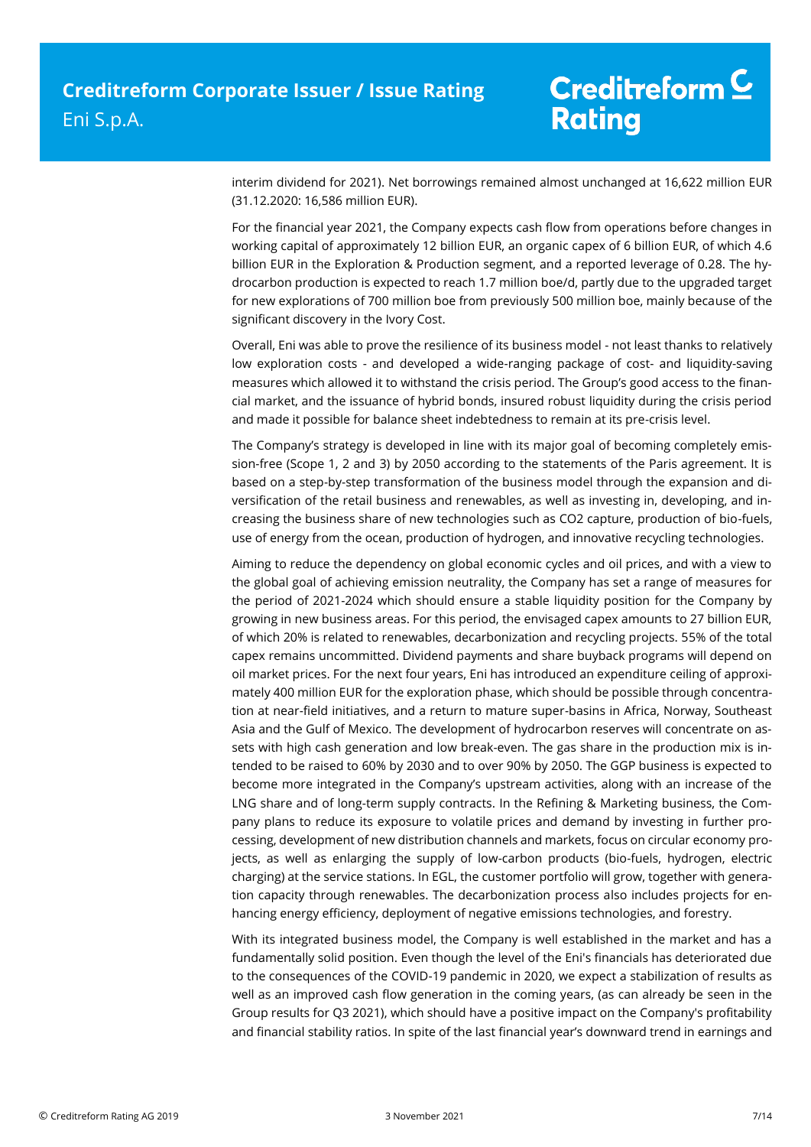interim dividend for 2021). Net borrowings remained almost unchanged at 16,622 million EUR (31.12.2020: 16,586 million EUR).

For the financial year 2021, the Company expects cash flow from operations before changes in working capital of approximately 12 billion EUR, an organic capex of 6 billion EUR, of which 4.6 billion EUR in the Exploration & Production segment, and a reported leverage of 0.28. The hydrocarbon production is expected to reach 1.7 million boe/d, partly due to the upgraded target for new explorations of 700 million boe from previously 500 million boe, mainly because of the significant discovery in the Ivory Cost.

Overall, Eni was able to prove the resilience of its business model - not least thanks to relatively low exploration costs - and developed a wide-ranging package of cost- and liquidity-saving measures which allowed it to withstand the crisis period. The Group's good access to the financial market, and the issuance of hybrid bonds, insured robust liquidity during the crisis period and made it possible for balance sheet indebtedness to remain at its pre-crisis level.

The Company's strategy is developed in line with its major goal of becoming completely emission-free (Scope 1, 2 and 3) by 2050 according to the statements of the Paris agreement. It is based on a step-by-step transformation of the business model through the expansion and diversification of the retail business and renewables, as well as investing in, developing, and increasing the business share of new technologies such as CO2 capture, production of bio-fuels, use of energy from the ocean, production of hydrogen, and innovative recycling technologies.

Aiming to reduce the dependency on global economic cycles and oil prices, and with a view to the global goal of achieving emission neutrality, the Company has set a range of measures for the period of 2021-2024 which should ensure a stable liquidity position for the Company by growing in new business areas. For this period, the envisaged capex amounts to 27 billion EUR, of which 20% is related to renewables, decarbonization and recycling projects. 55% of the total capex remains uncommitted. Dividend payments and share buyback programs will depend on oil market prices. For the next four years, Eni has introduced an expenditure ceiling of approximately 400 million EUR for the exploration phase, which should be possible through concentration at near-field initiatives, and a return to mature super-basins in Africa, Norway, Southeast Asia and the Gulf of Mexico. The development of hydrocarbon reserves will concentrate on assets with high cash generation and low break-even. The gas share in the production mix is intended to be raised to 60% by 2030 and to over 90% by 2050. The GGP business is expected to become more integrated in the Company's upstream activities, along with an increase of the LNG share and of long-term supply contracts. In the Refining & Marketing business, the Company plans to reduce its exposure to volatile prices and demand by investing in further processing, development of new distribution channels and markets, focus on circular economy projects, as well as enlarging the supply of low-carbon products (bio-fuels, hydrogen, electric charging) at the service stations. In EGL, the customer portfolio will grow, together with generation capacity through renewables. The decarbonization process also includes projects for enhancing energy efficiency, deployment of negative emissions technologies, and forestry.

With its integrated business model, the Company is well established in the market and has a fundamentally solid position. Even though the level of the Eni's financials has deteriorated due to the consequences of the COVID-19 pandemic in 2020, we expect a stabilization of results as well as an improved cash flow generation in the coming years, (as can already be seen in the Group results for Q3 2021), which should have a positive impact on the Company's profitability and financial stability ratios. In spite of the last financial year's downward trend in earnings and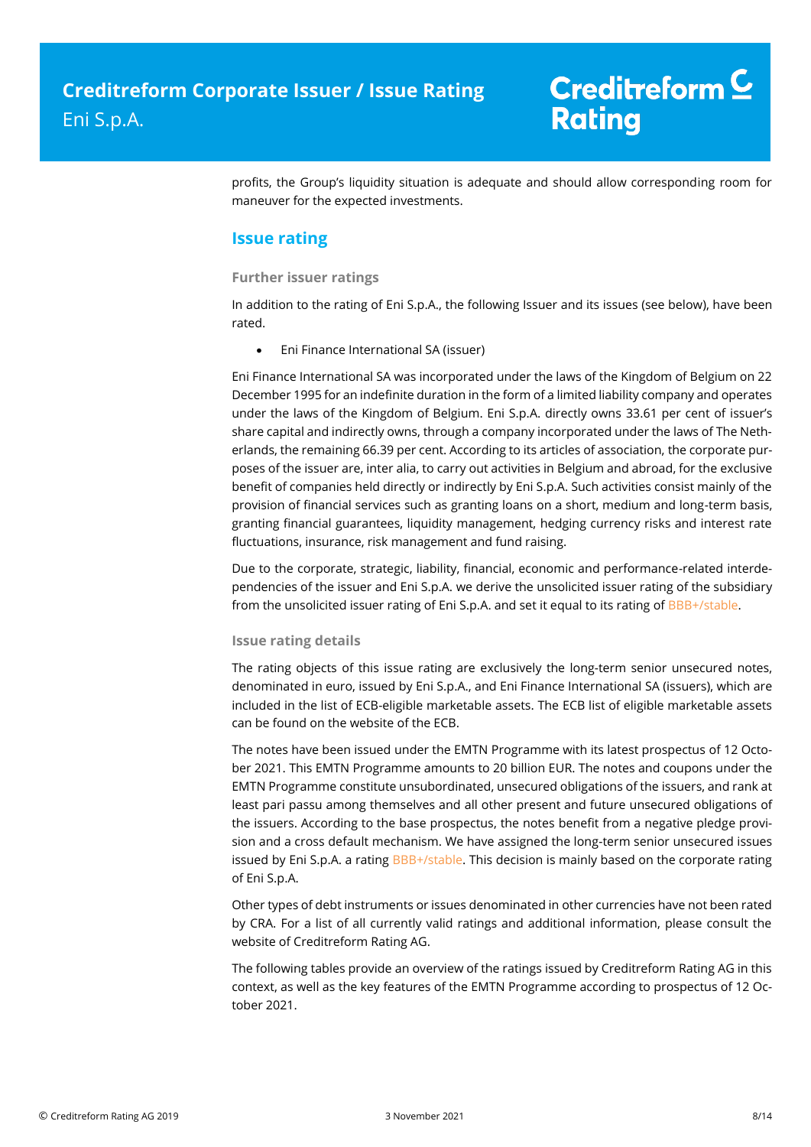profits, the Group's liquidity situation is adequate and should allow corresponding room for maneuver for the expected investments.

### **Issue rating**

### **Further issuer ratings**

In addition to the rating of Eni S.p.A., the following Issuer and its issues (see below), have been rated.

Eni Finance International SA (issuer)

Eni Finance International SA was incorporated under the laws of the Kingdom of Belgium on 22 December 1995 for an indefinite duration in the form of a limited liability company and operates under the laws of the Kingdom of Belgium. Eni S.p.A. directly owns 33.61 per cent of issuer's share capital and indirectly owns, through a company incorporated under the laws of The Netherlands, the remaining 66.39 per cent. According to its articles of association, the corporate purposes of the issuer are, inter alia, to carry out activities in Belgium and abroad, for the exclusive benefit of companies held directly or indirectly by Eni S.p.A. Such activities consist mainly of the provision of financial services such as granting loans on a short, medium and long-term basis, granting financial guarantees, liquidity management, hedging currency risks and interest rate fluctuations, insurance, risk management and fund raising.

Due to the corporate, strategic, liability, financial, economic and performance-related interdependencies of the issuer and Eni S.p.A. we derive the unsolicited issuer rating of the subsidiary from the unsolicited issuer rating of Eni S.p.A. and set it equal to its rating of BBB+/stable.

### **Issue rating details**

The rating objects of this issue rating are exclusively the long-term senior unsecured notes, denominated in euro, issued by Eni S.p.A., and Eni Finance International SA (issuers), which are included in the list of ECB-eligible marketable assets. The ECB list of eligible marketable assets can be found on the website of the ECB.

The notes have been issued under the EMTN Programme with its latest prospectus of 12 October 2021. This EMTN Programme amounts to 20 billion EUR. The notes and coupons under the EMTN Programme constitute unsubordinated, unsecured obligations of the issuers, and rank at least pari passu among themselves and all other present and future unsecured obligations of the issuers. According to the base prospectus, the notes benefit from a negative pledge provision and a cross default mechanism. We have assigned the long-term senior unsecured issues issued by Eni S.p.A. a rating BBB+/stable. This decision is mainly based on the corporate rating of Eni S.p.A.

Other types of debt instruments or issues denominated in other currencies have not been rated by CRA. For a list of all currently valid ratings and additional information, please consult the website of Creditreform Rating AG.

The following tables provide an overview of the ratings issued by Creditreform Rating AG in this context, as well as the key features of the EMTN Programme according to prospectus of 12 October 2021.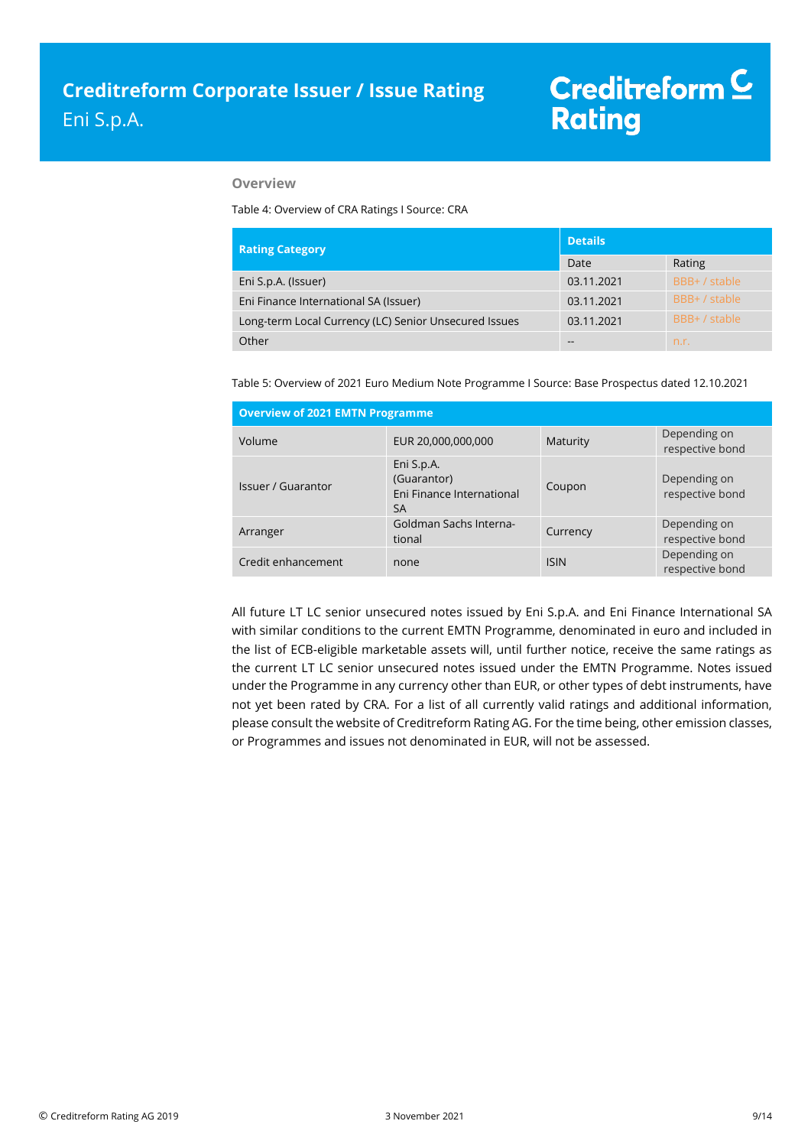#### **Overview**

Table 4: Overview of CRA Ratings I Source: CRA

| <b>Rating Category</b>                                | <b>Details</b> |               |  |
|-------------------------------------------------------|----------------|---------------|--|
|                                                       | Date           | Rating        |  |
| Eni S.p.A. (Issuer)                                   | 03.11.2021     | BBB+ / stable |  |
| Eni Finance International SA (Issuer)                 | 03.11.2021     | BBB+ / stable |  |
| Long-term Local Currency (LC) Senior Unsecured Issues | 03.11.2021     | BBB+ / stable |  |
| Other                                                 | $- -$          | n.r.          |  |

Table 5: Overview of 2021 Euro Medium Note Programme I Source: Base Prospectus dated 12.10.2021

| <b>Overview of 2021 EMTN Programme</b> |                                                                     |             |                                 |  |
|----------------------------------------|---------------------------------------------------------------------|-------------|---------------------------------|--|
| Volume                                 | EUR 20,000,000,000                                                  | Maturity    | Depending on<br>respective bond |  |
| Issuer / Guarantor                     | Eni S.p.A.<br>(Guarantor)<br>Eni Finance International<br><b>SA</b> | Coupon      | Depending on<br>respective bond |  |
| Arranger                               | Goldman Sachs Interna-<br>tional                                    | Currency    | Depending on<br>respective bond |  |
| Credit enhancement                     | none                                                                | <b>ISIN</b> | Depending on<br>respective bond |  |

All future LT LC senior unsecured notes issued by Eni S.p.A. and Eni Finance International SA with similar conditions to the current EMTN Programme, denominated in euro and included in the list of ECB-eligible marketable assets will, until further notice, receive the same ratings as the current LT LC senior unsecured notes issued under the EMTN Programme. Notes issued under the Programme in any currency other than EUR, or other types of debt instruments, have not yet been rated by CRA. For a list of all currently valid ratings and additional information, please consult the website of Creditreform Rating AG. For the time being, other emission classes, or Programmes and issues not denominated in EUR, will not be assessed.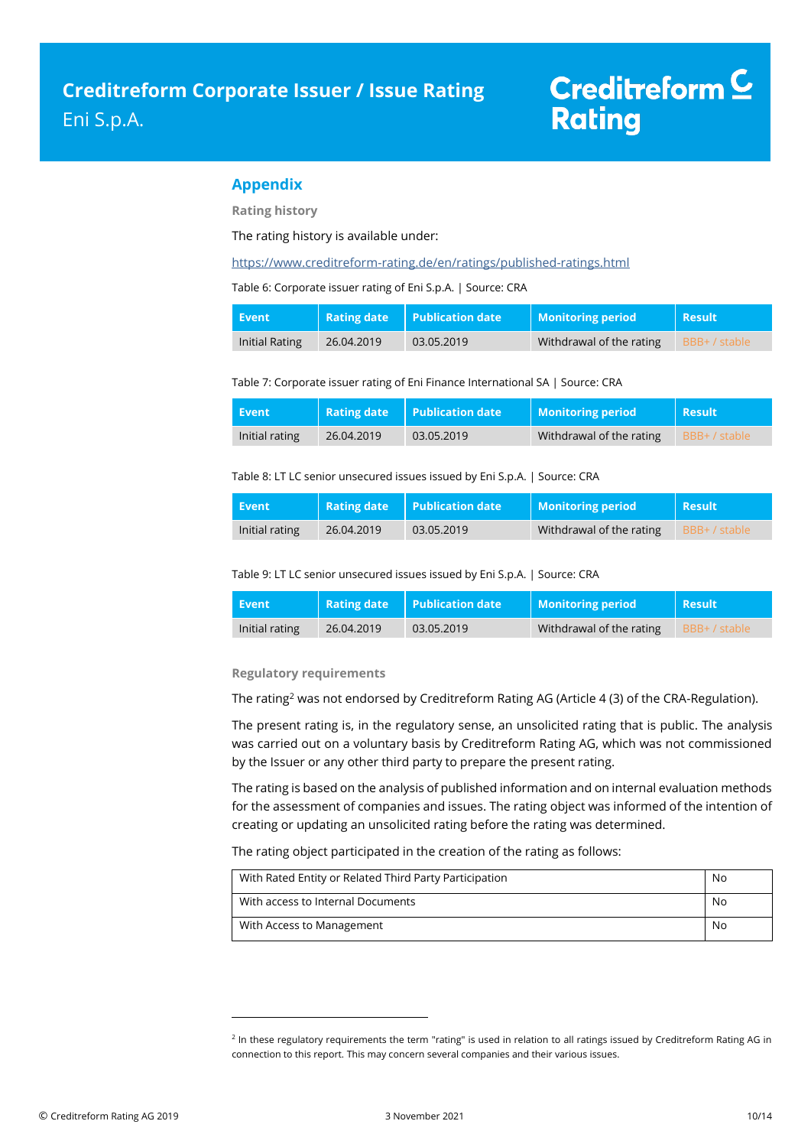### **Appendix**

**Rating history**

The rating history is available under:

<https://www.creditreform-rating.de/en/ratings/published-ratings.html>

Table 6: Corporate issuer rating of Eni S.p.A. | Source: CRA

| Event          | <b>Rating date</b> | $\mathsf I$ Publication date | <b>Monitoring period</b> | <b>Result</b> |
|----------------|--------------------|------------------------------|--------------------------|---------------|
| Initial Rating | 26.04.2019         | 03.05.2019                   | Withdrawal of the rating | BBB+ / stable |

Table 7: Corporate issuer rating of Eni Finance International SA | Source: CRA

| Event          |            | <b>Rating date</b> Publication date | Monitoring period        | Result      |
|----------------|------------|-------------------------------------|--------------------------|-------------|
| Initial rating | 26.04.2019 | 03.05.2019                          | Withdrawal of the rating | BBB+/stable |

Table 8: LT LC senior unsecured issues issued by Eni S.p.A. | Source: CRA

| <b>Event</b>   |            | <b>Rating date</b> Publication date | Monitoring period        | <b>Result</b> |
|----------------|------------|-------------------------------------|--------------------------|---------------|
| Initial rating | 26.04.2019 | 03.05.2019                          | Withdrawal of the rating | BBB+/stable   |

Table 9: LT LC senior unsecured issues issued by Eni S.p.A. | Source: CRA

| Event          | <b>Rating date</b> | $\blacksquare$ Publication date | <b>Monitoring period</b> | <b>Result</b> |
|----------------|--------------------|---------------------------------|--------------------------|---------------|
| Initial rating | 26.04.2019         | 03.05.2019                      | Withdrawal of the rating | BBB+ / stable |

#### **Regulatory requirements**

 $\overline{a}$ 

The rating<sup>2</sup> was not endorsed by Creditreform Rating AG (Article 4 (3) of the CRA-Regulation).

The present rating is, in the regulatory sense, an unsolicited rating that is public. The analysis was carried out on a voluntary basis by Creditreform Rating AG, which was not commissioned by the Issuer or any other third party to prepare the present rating.

The rating is based on the analysis of published information and on internal evaluation methods for the assessment of companies and issues. The rating object was informed of the intention of creating or updating an unsolicited rating before the rating was determined.

The rating object participated in the creation of the rating as follows:

| With Rated Entity or Related Third Party Participation | No |
|--------------------------------------------------------|----|
| With access to Internal Documents                      | No |
| With Access to Management                              | No |

<sup>&</sup>lt;sup>2</sup> In these regulatory requirements the term "rating" is used in relation to all ratings issued by Creditreform Rating AG in connection to this report. This may concern several companies and their various issues.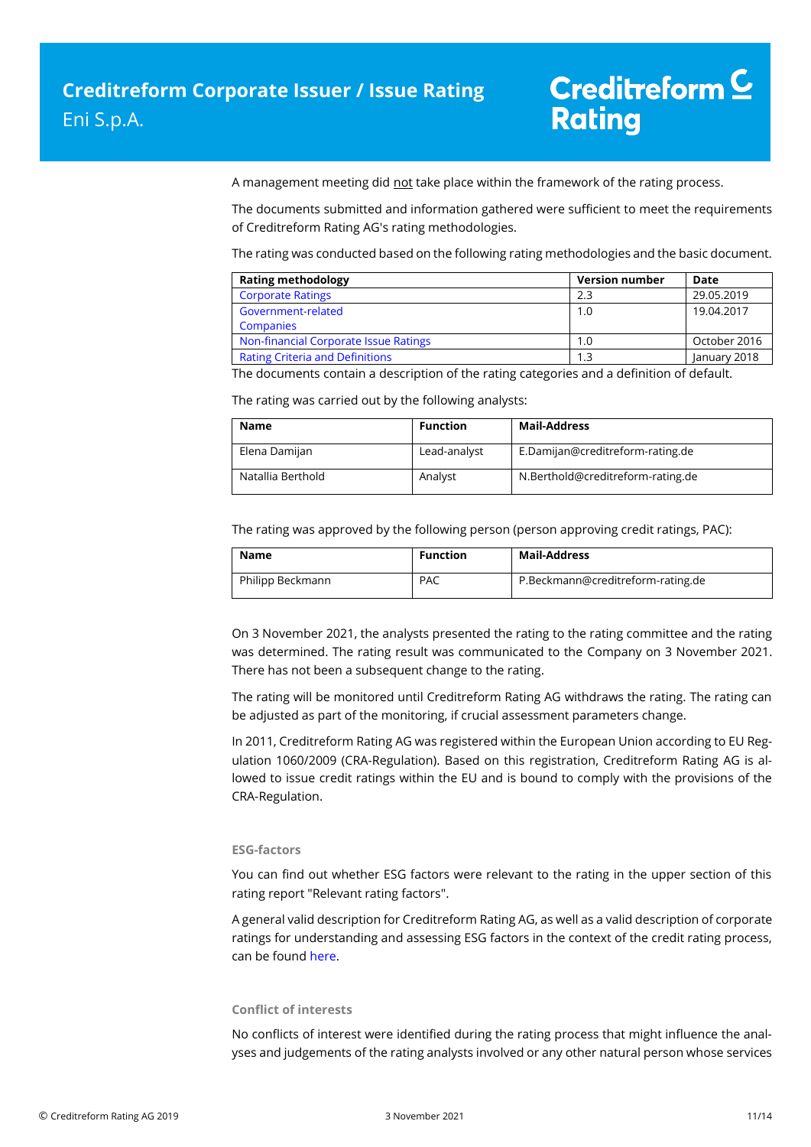A management meeting did not take place within the framework of the rating process.

The documents submitted and information gathered were sufficient to meet the requirements of Creditreform Rating AG's rating methodologies.

The rating was conducted based on the following rating methodologies and the basic document.

| <b>Rating methodology</b>              | <b>Version number</b> | Date         |
|----------------------------------------|-----------------------|--------------|
| <b>Corporate Ratings</b>               | 2.3                   | 29.05.2019   |
| Government-related                     | 1.0                   | 19.04.2017   |
| <b>Companies</b>                       |                       |              |
| Non-financial Corporate Issue Ratings  | 1.0                   | October 2016 |
| <b>Rating Criteria and Definitions</b> |                       | January 2018 |

The documents contain a description of the rating categories and a definition of default.

The rating was carried out by the following analysts:

| <b>Name</b>       | <b>Function</b> | <b>Mail-Address</b>               |
|-------------------|-----------------|-----------------------------------|
| Elena Damijan     | Lead-analyst    | E.Damijan@creditreform-rating.de  |
| Natallia Berthold | Analyst         | N.Berthold@creditreform-rating.de |

The rating was approved by the following person (person approving credit ratings, PAC):

| Name             | <b>Function</b> | Mail-Address                      |
|------------------|-----------------|-----------------------------------|
| Philipp Beckmann | <b>PAC</b>      | P.Beckmann@creditreform-rating.de |

On 3 November 2021, the analysts presented the rating to the rating committee and the rating was determined. The rating result was communicated to the Company on 3 November 2021. There has not been a subsequent change to the rating.

The rating will be monitored until Creditreform Rating AG withdraws the rating. The rating can be adjusted as part of the monitoring, if crucial assessment parameters change.

In 2011, Creditreform Rating AG was registered within the European Union according to EU Regulation 1060/2009 (CRA-Regulation). Based on this registration, Creditreform Rating AG is allowed to issue credit ratings within the EU and is bound to comply with the provisions of the CRA-Regulation.

### **ESG-factors**

You can find out whether ESG factors were relevant to the rating in the upper section of this rating report "Relevant rating factors".

A general valid description for Creditreform Rating AG, as well as a valid description of corporate ratings for understanding and assessing ESG factors in the context of the credit rating process, can be foun[d here.](https://creditreform-rating.de/en/about-us/regulatory-requirements.html?file=files/content/downloads/Externes%20Rating/Regulatorische%20Anforderungen/EN/Ratingmethodiken%20EN/The%20Impact%20of%20ESG%20Factors%20on%20Credit%20Ratings.pdf)

### **Conflict of interests**

No conflicts of interest were identified during the rating process that might influence the analyses and judgements of the rating analysts involved or any other natural person whose services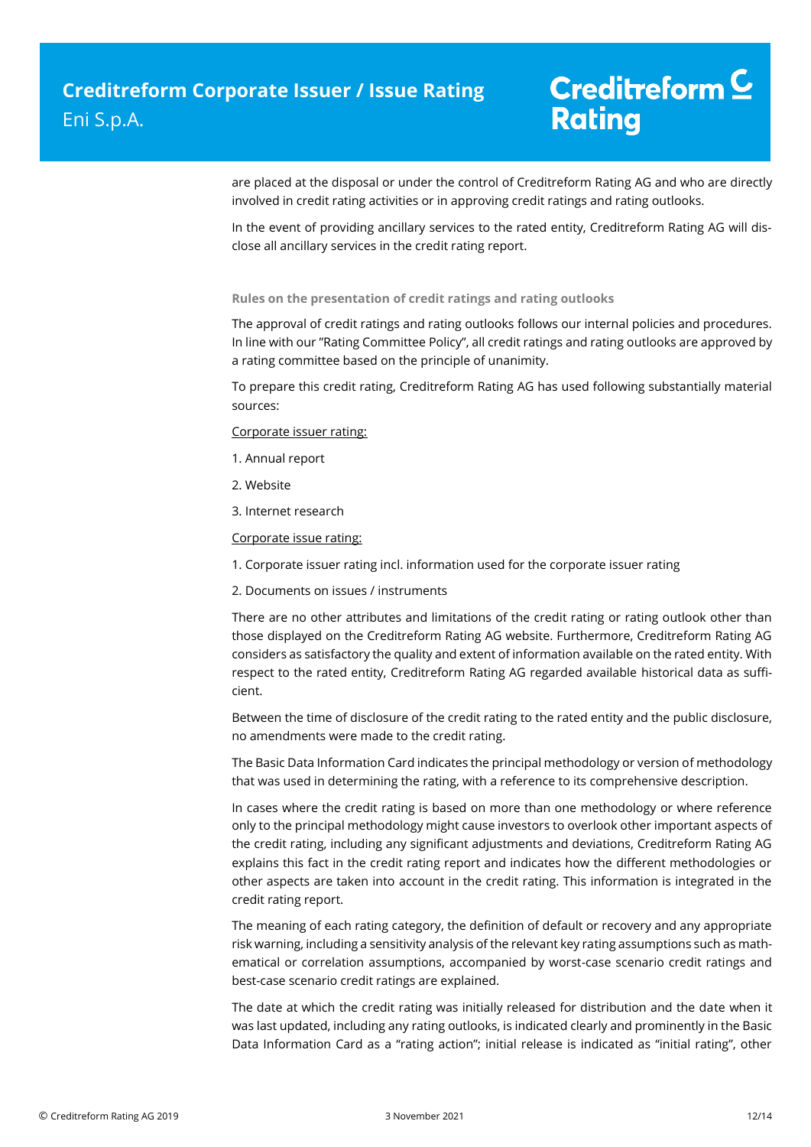are placed at the disposal or under the control of Creditreform Rating AG and who are directly involved in credit rating activities or in approving credit ratings and rating outlooks.

In the event of providing ancillary services to the rated entity, Creditreform Rating AG will disclose all ancillary services in the credit rating report.

### **Rules on the presentation of credit ratings and rating outlooks**

The approval of credit ratings and rating outlooks follows our internal policies and procedures. In line with our "Rating Committee Policy", all credit ratings and rating outlooks are approved by a rating committee based on the principle of unanimity.

To prepare this credit rating, Creditreform Rating AG has used following substantially material sources:

Corporate issuer rating:

- 1. Annual report
- 2. Website
- 3. Internet research

Corporate issue rating:

- 1. Corporate issuer rating incl. information used for the corporate issuer rating
- 2. Documents on issues / instruments

There are no other attributes and limitations of the credit rating or rating outlook other than those displayed on the Creditreform Rating AG website. Furthermore, Creditreform Rating AG considers as satisfactory the quality and extent of information available on the rated entity. With respect to the rated entity, Creditreform Rating AG regarded available historical data as sufficient.

Between the time of disclosure of the credit rating to the rated entity and the public disclosure, no amendments were made to the credit rating.

The Basic Data Information Card indicates the principal methodology or version of methodology that was used in determining the rating, with a reference to its comprehensive description.

In cases where the credit rating is based on more than one methodology or where reference only to the principal methodology might cause investors to overlook other important aspects of the credit rating, including any significant adjustments and deviations, Creditreform Rating AG explains this fact in the credit rating report and indicates how the different methodologies or other aspects are taken into account in the credit rating. This information is integrated in the credit rating report.

The meaning of each rating category, the definition of default or recovery and any appropriate risk warning, including a sensitivity analysis of the relevant key rating assumptions such as mathematical or correlation assumptions, accompanied by worst-case scenario credit ratings and best-case scenario credit ratings are explained.

The date at which the credit rating was initially released for distribution and the date when it was last updated, including any rating outlooks, is indicated clearly and prominently in the Basic Data Information Card as a "rating action"; initial release is indicated as "initial rating", other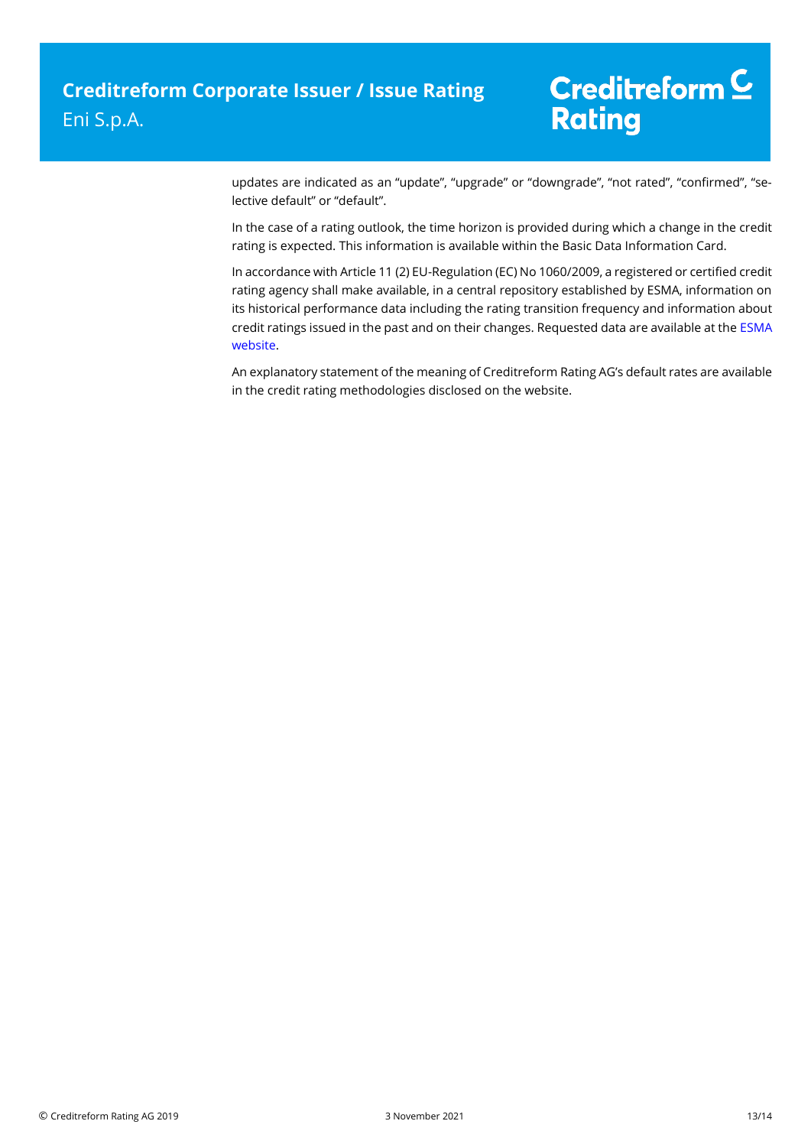updates are indicated as an "update", "upgrade" or "downgrade", "not rated", "confirmed", "selective default" or "default".

In the case of a rating outlook, the time horizon is provided during which a change in the credit rating is expected. This information is available within the Basic Data Information Card.

In accordance with Article 11 (2) EU-Regulation (EC) No 1060/2009, a registered or certified credit rating agency shall make available, in a central repository established by ESMA, information on its historical performance data including the rating transition frequency and information about credit ratings issued in the past and on their changes. Requested data are available at th[e ESMA](https://cerep.esma.europa.eu/cerep-web/statistics/defaults.xhtml)  [website.](https://cerep.esma.europa.eu/cerep-web/statistics/defaults.xhtml)

An explanatory statement of the meaning of Creditreform Rating AG's default rates are available in the credit rating methodologies disclosed on the website.